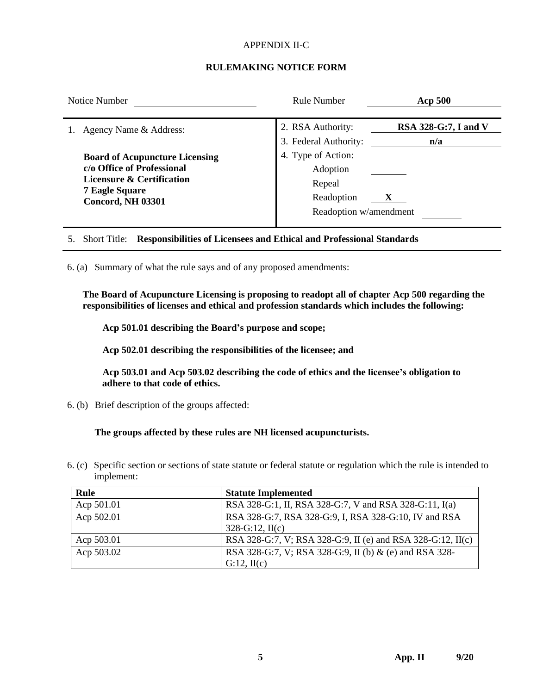## APPENDIX II-C

## **RULEMAKING NOTICE FORM**

| Notice Number                                                                                                                                                    | <b>Rule Number</b>                                                               | <b>Acp 500</b>              |  |
|------------------------------------------------------------------------------------------------------------------------------------------------------------------|----------------------------------------------------------------------------------|-----------------------------|--|
| Agency Name & Address:                                                                                                                                           | 2. RSA Authority:<br>3. Federal Authority:                                       | RSA 328-G:7, I and V<br>n/a |  |
| <b>Board of Acupuncture Licensing</b><br>c/o Office of Professional<br><b>Licensure &amp; Certification</b><br><b>7 Eagle Square</b><br><b>Concord, NH 03301</b> | 4. Type of Action:<br>Adoption<br>Repeal<br>Readoption<br>Readoption w/amendment |                             |  |

5. Short Title: **Responsibilities of Licensees and Ethical and Professional Standards**

6. (a) Summary of what the rule says and of any proposed amendments:

**The Board of Acupuncture Licensing is proposing to readopt all of chapter Acp 500 regarding the responsibilities of licenses and ethical and profession standards which includes the following:**

**Acp 501.01 describing the Board's purpose and scope;**

**Acp 502.01 describing the responsibilities of the licensee; and**

**Acp 503.01 and Acp 503.02 describing the code of ethics and the licensee's obligation to adhere to that code of ethics.**

6. (b) Brief description of the groups affected:

**The groups affected by these rules are NH licensed acupuncturists.**

6. (c) Specific section or sections of state statute or federal statute or regulation which the rule is intended to implement:

| Rule       | <b>Statute Implemented</b>                                  |
|------------|-------------------------------------------------------------|
| Acp 501.01 | RSA 328-G:1, II, RSA 328-G:7, V and RSA 328-G:11, I(a)      |
| Acp 502.01 | RSA 328-G:7, RSA 328-G:9, I, RSA 328-G:10, IV and RSA       |
|            | $328-G:12$ , II(c)                                          |
| Acp 503.01 | RSA 328-G:7, V; RSA 328-G:9, II (e) and RSA 328-G:12, II(c) |
| Acp 503.02 | RSA 328-G:7, V; RSA 328-G:9, II (b) & (e) and RSA 328-      |
|            | G:12, H(c)                                                  |